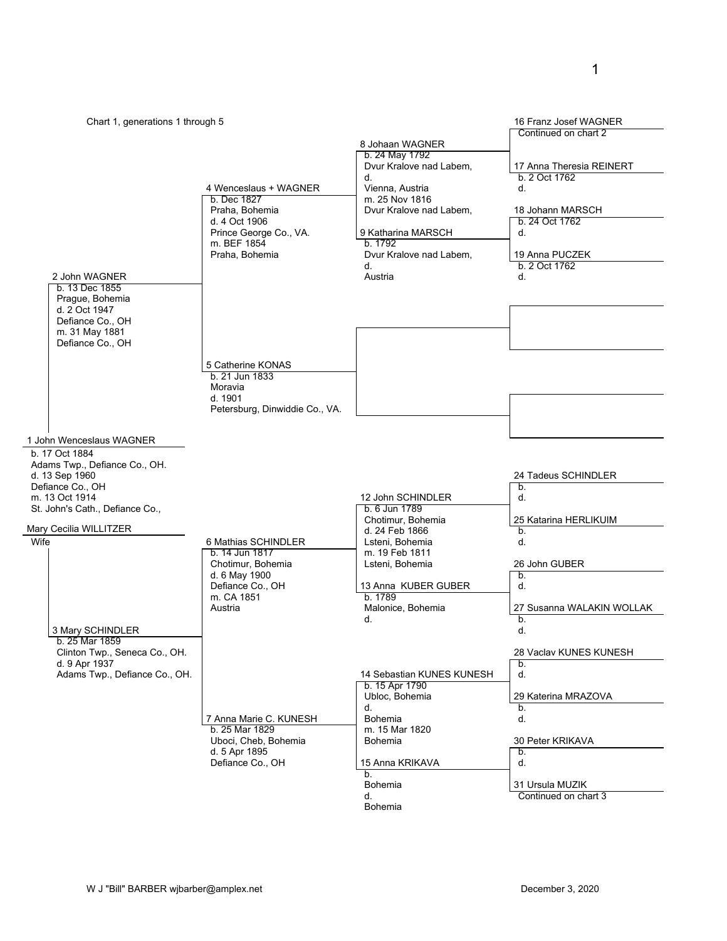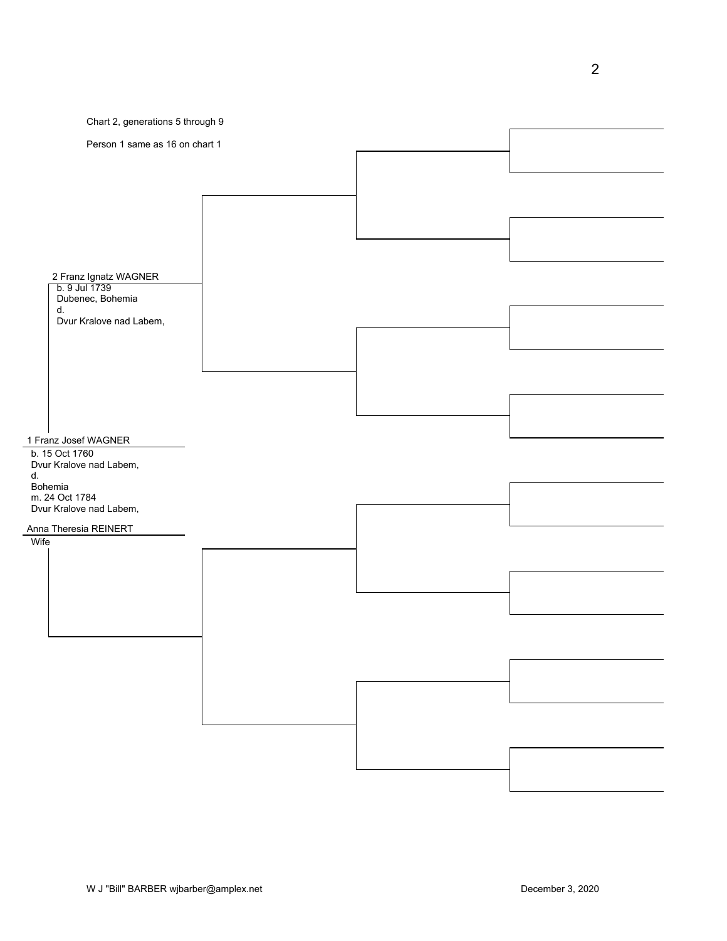